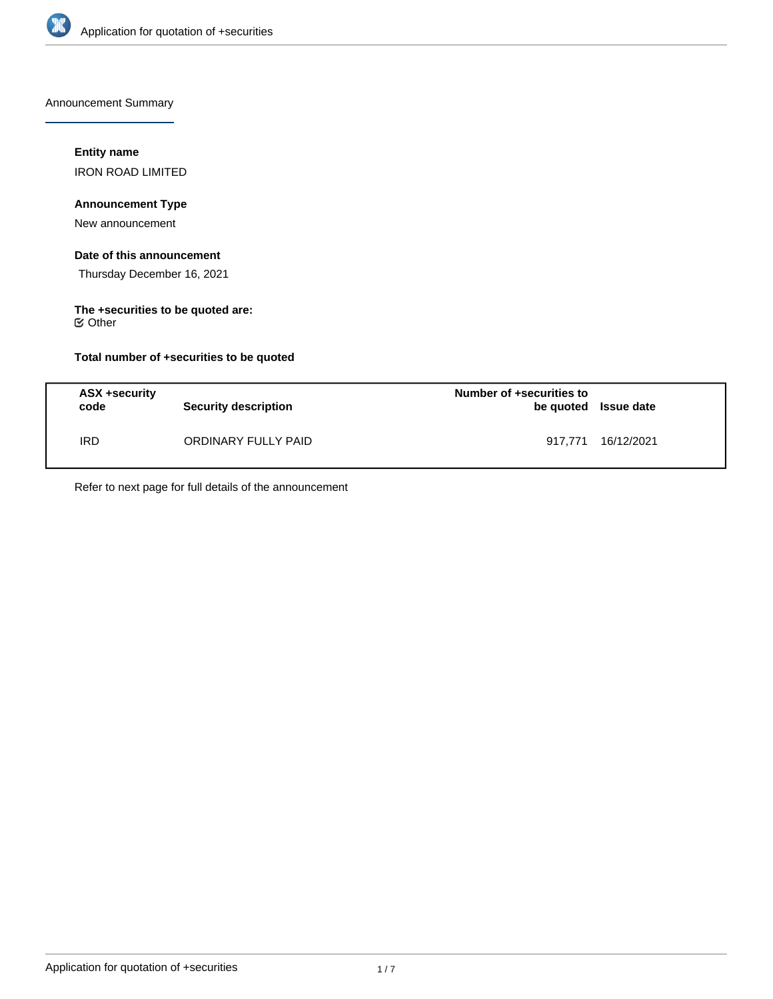

Announcement Summary

# **Entity name**

IRON ROAD LIMITED

# **Announcement Type**

New announcement

# **Date of this announcement**

Thursday December 16, 2021

### **The +securities to be quoted are:** Other

**Total number of +securities to be quoted**

| ASX +security<br>code | <b>Security description</b> | Number of +securities to<br>be quoted Issue date |            |
|-----------------------|-----------------------------|--------------------------------------------------|------------|
| IRD                   | ORDINARY FULLY PAID         | 917.771                                          | 16/12/2021 |

Refer to next page for full details of the announcement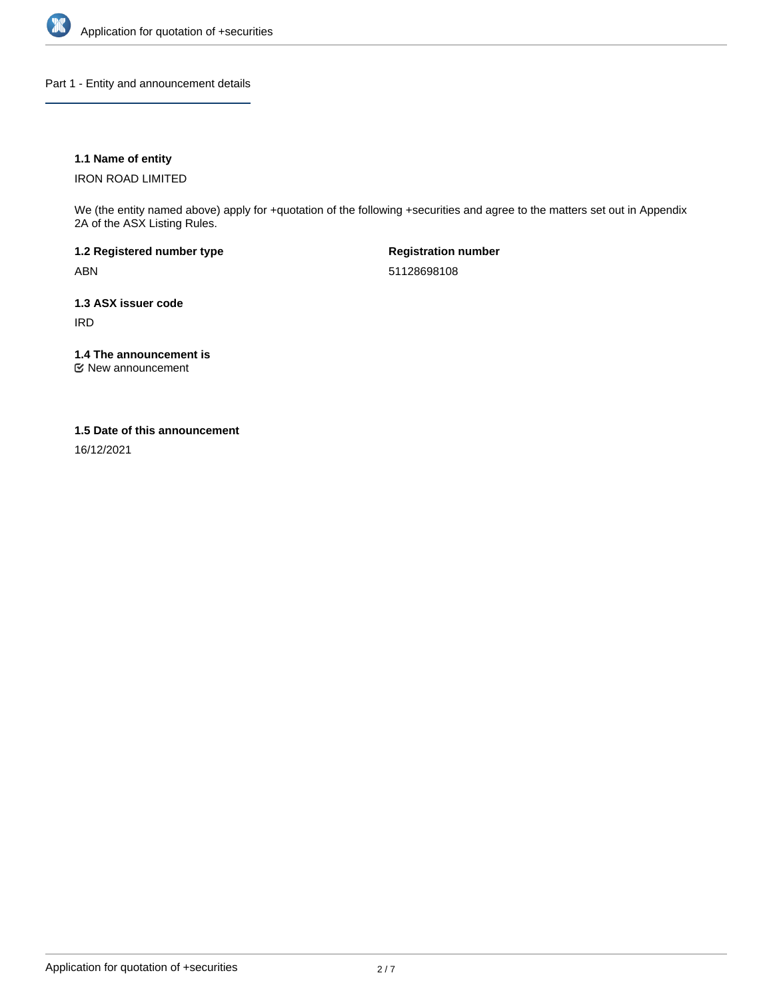

Part 1 - Entity and announcement details

## **1.1 Name of entity**

IRON ROAD LIMITED

We (the entity named above) apply for +quotation of the following +securities and agree to the matters set out in Appendix 2A of the ASX Listing Rules.

**1.2 Registered number type** ABN

**Registration number** 51128698108

**1.3 ASX issuer code** IRD

**1.4 The announcement is**

New announcement

## **1.5 Date of this announcement**

16/12/2021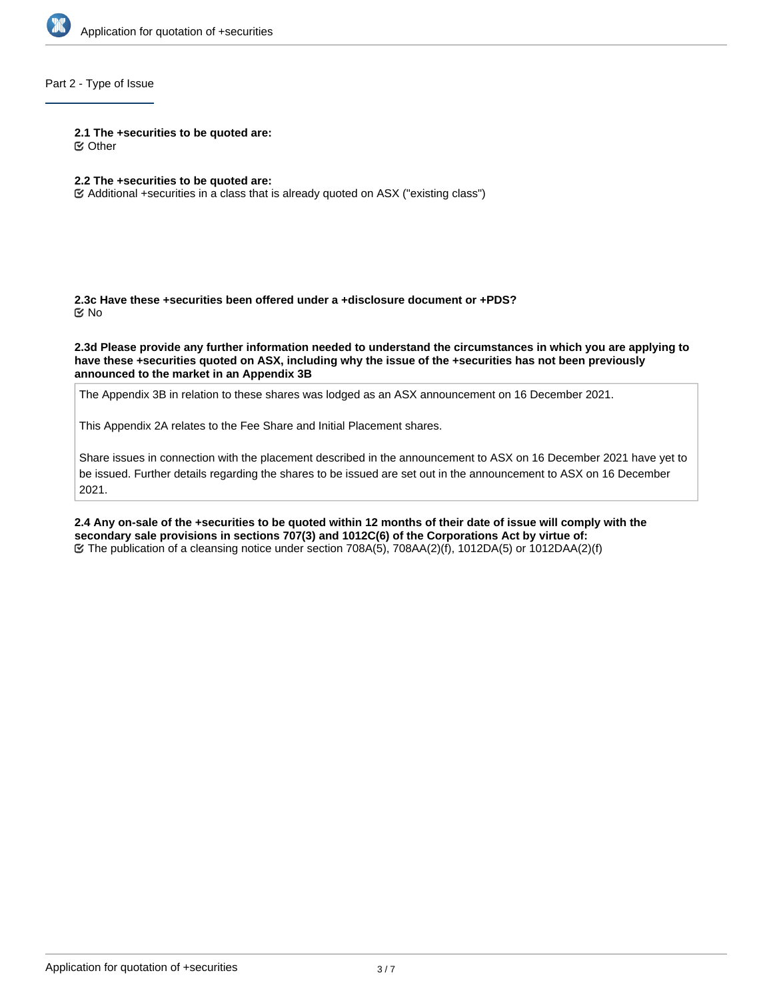

## Part 2 - Type of Issue

#### **2.1 The +securities to be quoted are:**

Other

## **2.2 The +securities to be quoted are:**

Additional +securities in a class that is already quoted on ASX ("existing class")

**2.3c Have these +securities been offered under a +disclosure document or +PDS?** No

**2.3d Please provide any further information needed to understand the circumstances in which you are applying to have these +securities quoted on ASX, including why the issue of the +securities has not been previously announced to the market in an Appendix 3B**

The Appendix 3B in relation to these shares was lodged as an ASX announcement on 16 December 2021.

This Appendix 2A relates to the Fee Share and Initial Placement shares.

Share issues in connection with the placement described in the announcement to ASX on 16 December 2021 have yet to be issued. Further details regarding the shares to be issued are set out in the announcement to ASX on 16 December 2021.

**2.4 Any on-sale of the +securities to be quoted within 12 months of their date of issue will comply with the secondary sale provisions in sections 707(3) and 1012C(6) of the Corporations Act by virtue of:** The publication of a cleansing notice under section 708A(5), 708AA(2)(f), 1012DA(5) or 1012DAA(2)(f)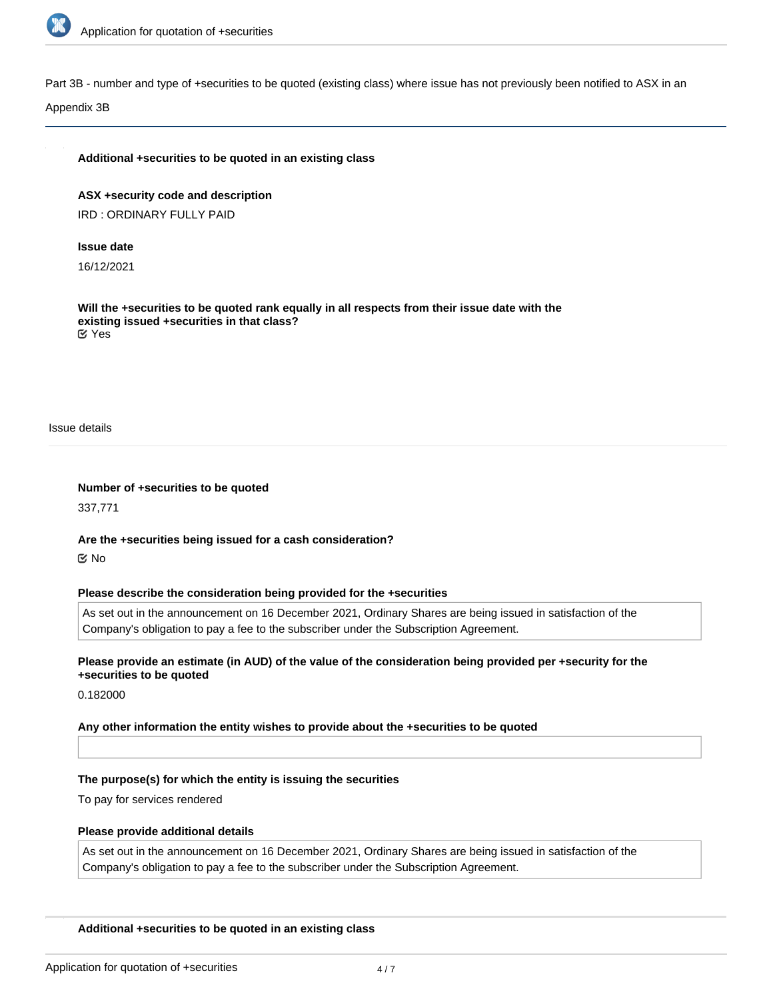

Part 3B - number and type of +securities to be quoted (existing class) where issue has not previously been notified to ASX in an

Appendix 3B

#### **Additional +securities to be quoted in an existing class**

**ASX +security code and description** IRD : ORDINARY FULLY PAID

#### **Issue date**

16/12/2021

**Will the +securities to be quoted rank equally in all respects from their issue date with the existing issued +securities in that class?** Yes

Issue details

**Number of +securities to be quoted** 337,771

**Are the +securities being issued for a cash consideration?** No

#### **Please describe the consideration being provided for the +securities**

As set out in the announcement on 16 December 2021, Ordinary Shares are being issued in satisfaction of the Company's obligation to pay a fee to the subscriber under the Subscription Agreement.

## **Please provide an estimate (in AUD) of the value of the consideration being provided per +security for the +securities to be quoted**

0.182000

### **Any other information the entity wishes to provide about the +securities to be quoted**

#### **The purpose(s) for which the entity is issuing the securities**

To pay for services rendered

#### **Please provide additional details**

As set out in the announcement on 16 December 2021, Ordinary Shares are being issued in satisfaction of the Company's obligation to pay a fee to the subscriber under the Subscription Agreement.

#### **Additional +securities to be quoted in an existing class**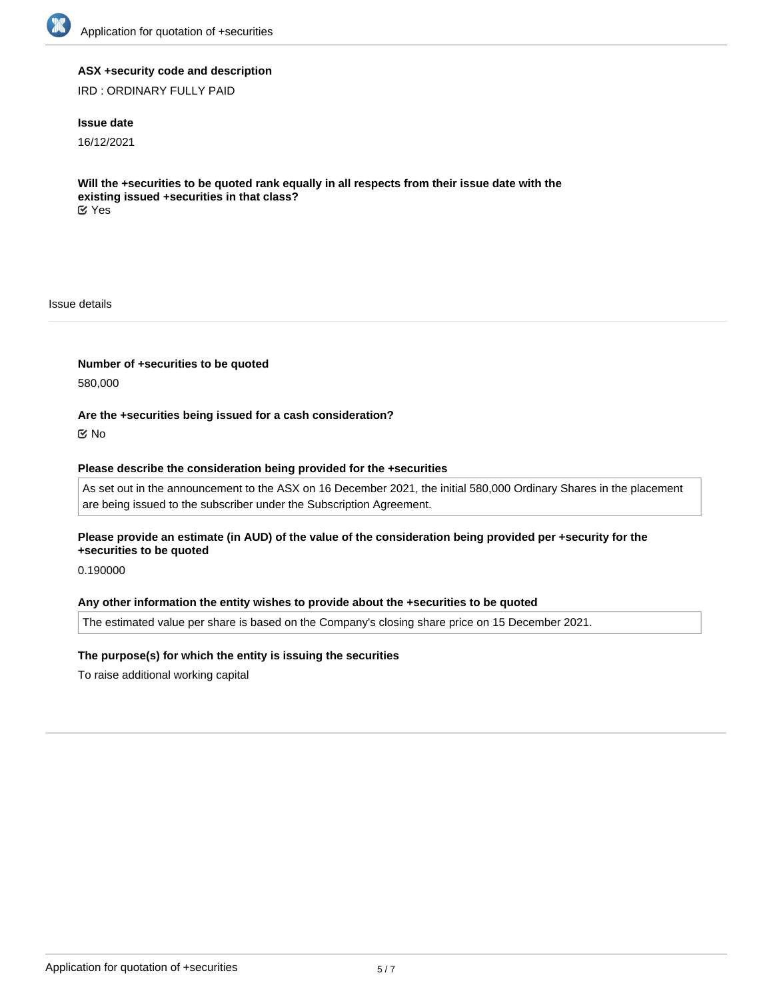

## **ASX +security code and description**

IRD : ORDINARY FULLY PAID

## **Issue date**

16/12/2021

**Will the +securities to be quoted rank equally in all respects from their issue date with the existing issued +securities in that class?** Yes

Issue details

**Number of +securities to be quoted**

580,000

### **Are the +securities being issued for a cash consideration?**

No

### **Please describe the consideration being provided for the +securities**

As set out in the announcement to the ASX on 16 December 2021, the initial 580,000 Ordinary Shares in the placement are being issued to the subscriber under the Subscription Agreement.

**Please provide an estimate (in AUD) of the value of the consideration being provided per +security for the +securities to be quoted**

0.190000

#### **Any other information the entity wishes to provide about the +securities to be quoted**

The estimated value per share is based on the Company's closing share price on 15 December 2021.

### **The purpose(s) for which the entity is issuing the securities**

To raise additional working capital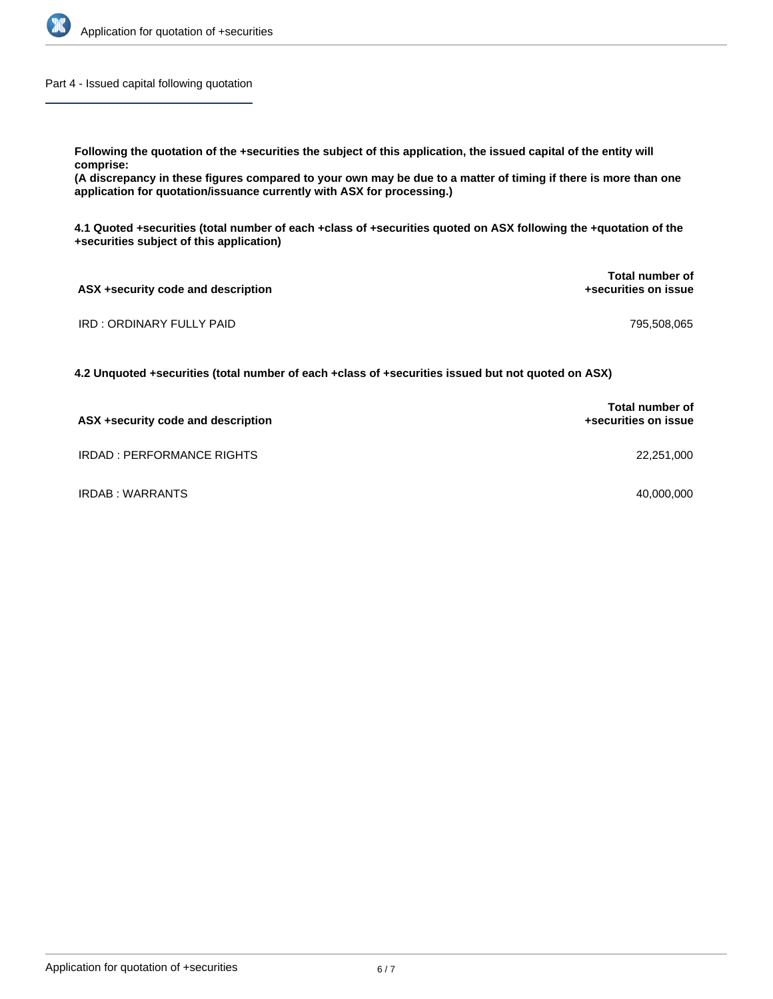

Part 4 - Issued capital following quotation

**Following the quotation of the +securities the subject of this application, the issued capital of the entity will comprise:**

**(A discrepancy in these figures compared to your own may be due to a matter of timing if there is more than one application for quotation/issuance currently with ASX for processing.)**

**4.1 Quoted +securities (total number of each +class of +securities quoted on ASX following the +quotation of the +securities subject of this application)**

| ASX +security code and description | Total number of<br>+securities on issue |
|------------------------------------|-----------------------------------------|
| IRD : ORDINARY FULLY PAID          | 795,508,065                             |

**4.2 Unquoted +securities (total number of each +class of +securities issued but not quoted on ASX)**

| ASX +security code and description | <b>Total number of</b><br>+securities on issue |
|------------------------------------|------------------------------------------------|
| IRDAD : PERFORMANCE RIGHTS         | 22,251,000                                     |
| IRDAB: WARRANTS                    | 40,000,000                                     |